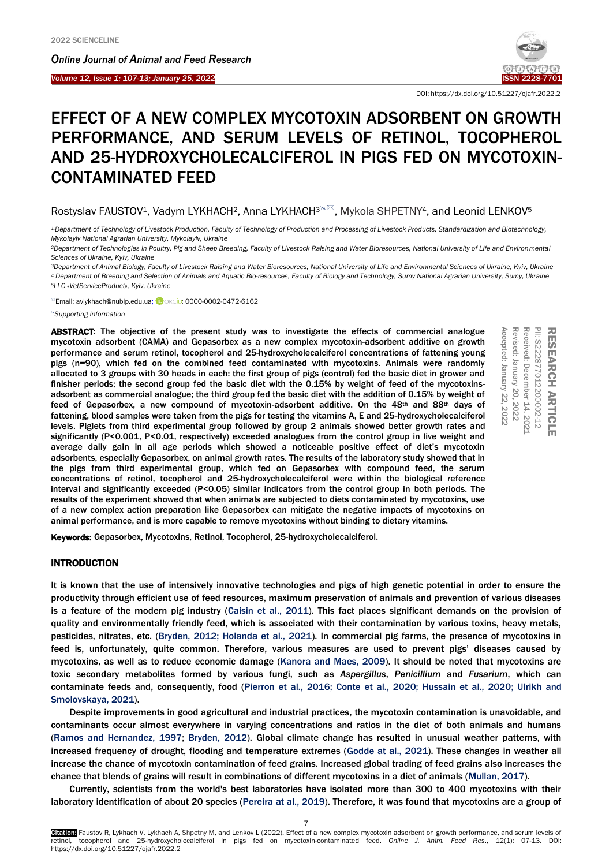*Online Journal of A[nimal and](http://www.ojafr.ir/main/) Feed Research*



DOI: https://dx.doi.org/10.51227/ojafr.2022.2

# EFFECT OF A NEW COMPLEX MYCOTOXIN ADSORBENT ON GROWTH PERFORMANCE, AND SERUM LEVELS OF RETINOL, TOCOPHEROL AND 25-HYDROXYCHOLECALCIFEROL IN PIGS FED ON MYCOTOXIN-CONTAMINATED FEED

Rostyslav FAUSTOV<sup>1</sup>, Vadym LYKHACH<sup>2</sup>, Anna LYKHACH<sup>3</sup><sup>\M</sup>, Mykola SHPETNY<sup>4</sup>, and Leonid LENKOV<sup>5</sup>

*1.Department of Technology of Livestock Production, Faculty of Technology of Production and Processing of Livestock Products, Standardization and Biotechnology, Mykolayiv National Agrarian University, Mykolayiv, Ukraine*

*<sup>2</sup>Department of Technologies in Poultry, Pig and Sheep Breeding, Faculty of Livestock Raising and Water Bioresources, National University of Life and Environmental Sciences of Ukraine, Kyiv, Ukraine*

*<sup>3</sup>Department of Animal Biology, Faculty of Livestock Raising and Water Bioresources, National University of Life and Environmental Sciences of Ukraine, Kyiv, Ukraine <sup>4</sup> [Department of Breeding and Selection of](https://btf.snau.edu.ua/en/departments/feed-technology-and-animal-feeding-department/) Animals and Aquatic Bio-resources, Faculty of Biology and Technology, Sumy National Agrarian University, Sumy, Ukraine <sup>5</sup>LLC «VetServiceProduct», Kyiv, Ukraine*

<sup>⊠</sup>Email: avlykhach@nubip.edu.ua; **iD**ORCID: 0000-0002-0472-6162

*Supporting Information*

ABSTRACT: The objective of the present study was to investigate the effects of commercial analogue mycotoxin adsorbent (CAMA) and Gepasorbex as a new complex mycotoxin-adsorbent additive on growth performance and serum retinol, tocopherol and 25-hydroxycholecalciferol concentrations of fattening young pigs (n=90), which fed on the combined feed contaminated with mycotoxins. Animals were randomly allocated to 3 groups with 30 heads in each: the first group of pigs (control) fed the basic diet in grower and finisher periods; the second group fed the basic diet with the 0.15% by weight of feed of the mycotoxinsadsorbent as commercial analogue; the third group fed the basic diet with the addition of 0.15% by weight of feed of Gepasorbex, a new compound of mycotoxin-adsorbent additive. On the 48th and 88th days of fattening, blood samples were taken from the pigs for testing the vitamins A, E and 25-hydroxycholecalciferol levels. Piglets from third experimental group followed by group 2 animals showed better growth rates and significantly (P<0.001, P<0.01, respectively) exceeded analogues from the control group in live weight and average daily gain in all age periods which showed a noticeable positive effect of diet's mycotoxin adsorbents, especially Gepasorbex, on animal growth rates. The results of the laboratory study showed that in the pigs from third experimental group, which fed on Gepasorbex with compound feed, the serum concentrations of retinol, tocopherol and 25-hydroxycholecalciferol were within the biological reference interval and significantly exceeded (P<0.05) similar indicators from the control group in both periods. The results of the experiment showed that when animals are subjected to diets contaminated by mycotoxins, use of a new complex action preparation like Gepasorbex can mitigate the negative impacts of mycotoxins on animal performance, and is more capable to remove mycotoxins without binding to dietary vitamins. **ABSTRACT:** The objective of the researt study was to investigate the effects of commercial analogue;<br>
mycotoxin adsorbent (CAMA) and Gepasorbex as a new complex mycotoxin-adsorbent additive on growth<br>
performance and seru



## INTRODUCTION

It is known that the use of intensively innovative technologies and pigs of high genetic potential in order to ensure the productivity through efficient use of feed resources, maximum preservation of animals and prevention of various diseases is a feature of the modern pig industry [\(Caisin et al., 2011\).](#page-5-0) This fact places significant demands on the provision of quality and environmentally friendly feed, which is associated with their contamination by various toxins, heavy metals, pesticides, nitrates, etc. [\(Bryden, 2012; Holanda et al., 2021\).](#page-5-0) In commercial pig farms, the presence of mycotoxins in feed is, unfortunately, quite common. Therefore, various measures are used to prevent pigs' diseases caused by mycotoxins, as well as to reduce economic damage [\(Kanora and Maes, 2009\).](#page-5-0) It should be noted that mycotoxins are toxic secondary metabolites formed by various fungi, such as *Aspergillus*, *Penicillium* and *Fusarium*, which can contaminate feeds and, consequently, food (Pierron et al., 2016; [Conte et al., 2020; Hussain et al., 2020; Ulrikh and](#page-5-0)  [Smolovskaya, 2021\).](#page-5-0) 

Despite improvements in good agricultural and industrial practices, the mycotoxin contamination is unavoidable, and contaminants occur almost everywhere in varying concentrations and ratios in the diet of both animals and humans [\(Ramos and Hernandez, 1997; Bryden, 2012\).](#page-5-0) Global climate change has resulted in unusual weather patterns, with increased frequency of drought, flooding and temperature extremes [\(Godde at al., 2021\).](#page-5-0) These changes in weather all increase the chance of mycotoxin contamination of feed grains. Increased global trading of feed grains also increases the chance that blends of grains will result in combinations of different mycotoxins in a diet of animals [\(Mullan, 2017\).](#page-5-0) 

Currently, scientists from the world's best laboratories have isolated more than 300 to 400 mycotoxins with their laboratory identification of about 20 species [\(Pereira at al., 2019\).](#page-5-0) Therefore, it was found that mycotoxins are a group of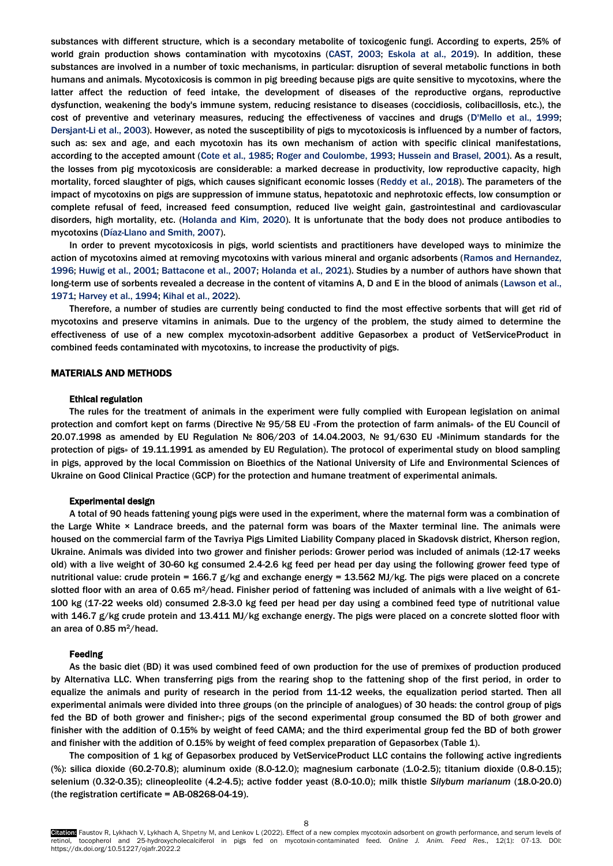substances with different structure, which is a secondary metabolite of toxicogenic fungi. According to experts, 25% of world grain production shows contamination with mycotoxins [\(CAST, 2003; Eskola at al., 2019\).](#page-5-0) In addition, these substances are involved in a number of toxic mechanisms, in particular: disruption of several metabolic functions in both humans and animals. Mycotoxicosis is common in pig breeding because pigs are quite sensitive to mycotoxins, where the latter affect the reduction of feed intake, the development of diseases of the reproductive organs, reproductive dysfunction, weakening the body's immune system, reducing resistance to diseases (coccidiosis, colibacillosis, etc.), the cost of preventive and veterinary measures, reducing the effectiveness of vaccines and drugs [\(D'Mello et al., 1999;](#page-5-0)  [Dersjant-Li et al., 2003\).](#page-5-0) However, as noted the susceptibility of pigs to mycotoxicosis is influenced by a number of factors, such as: sex and age, and each mycotoxin has its own mechanism of action with specific clinical manifestations, according to the accepted amount (Cote et al., 1985; [Roger and Coulombe, 1993; Hussein and Brasel, 2001\).](#page-5-0) As a result, the losses from pig mycotoxicosis are considerable: a marked decrease in productivity, low reproductive capacity, high mortality, forced slaughter of pigs, which causes significant economic losses [\(Reddy et al., 2018\).](#page-5-0) The parameters of the impact of mycotoxins on pigs are suppression of immune status, hepatotoxic and nephrotoxic effects, low consumption or complete refusal of feed, increased feed consumption, reduced live weight gain, gastrointestinal and cardiovascular disorders, high mortality, etc. [\(Holanda and Kim, 2020\).](#page-5-0) It is unfortunate that the body does not produce antibodies to mycotoxins [\(Díaz-Llano and Smith, 2007\).](#page-5-0)

In order to prevent mycotoxicosis in pigs, world scientists and practitioners have developed ways to minimize the action of mycotoxins aimed at removing mycotoxins with various mineral and organic adsorbents [\(Ramos and Hernandez,](#page-5-0)  [1996; Huwig et al., 2001; Battacone et al., 2007; Holanda et al., 2021\).](#page-5-0) Studies by a number of authors have shown that long-term use of sorbents revealed a decrease in the content of vitamins A, D and E in the blood of animals (Lawson et al., [1971; Harvey et al., 1994; Kihal et al., 2022\).](#page-5-0) 

Therefore, a number of studies are currently being conducted to find the most effective sorbents that will get rid of mycotoxins and preserve vitamins in animals. Due to the urgency of the problem, the study aimed to determine the effectiveness of use of a new complex mycotoxin-adsorbent additive Gepasorbex a product of VetServiceProduct in combined feeds contaminated with mycotoxins, to increase the productivity of pigs.

### MATERIALS AND METHODS

## Ethical regulation

The rules for the treatment of animals in the experiment were fully complied with European legislation on animal protection and comfort kept on farms (Directive № 95/58 EU «From the protection of farm animals» of the EU Council of 20.07.1998 as amended by EU Regulation № 806/203 of 14.04.2003, № 91/630 EU «Minimum standards for the protection of pigs» of 19.11.1991 as amended by EU Regulation). The protocol of experimental study on blood sampling in pigs, approved by the local Commission on Bioethics of the National University of Life and Environmental Sciences of Ukraine on Good Clinical Practice (GCP) for the protection and humane treatment of experimental animals.

#### Experimental design

A total of 90 heads fattening young pigs were used in the experiment, where the maternal form was a combination of the Large White × Landrace breeds, and the paternal form was boars of the Maxter terminal line. The animals were housed on the commercial farm of the Tavriya Pigs Limited Liability Company placed in Skadovsk district, Kherson region, Ukraine. Animals was divided into two grower and finisher periods: Grower period was included of animals (12-17 weeks old) with a live weight of 30-60 kg consumed 2.4-2.6 kg feed per head per day using the following grower feed type of nutritional value: crude protein = 166.7 g/kg and exchange energy = 13.562 MJ/kg. The pigs were placed on a concrete slotted floor with an area of 0.65 m<sup>2</sup>/head. Finisher period of fattening was included of animals with a live weight of 61-100 kg (17-22 weeks old) consumed 2.8-3.0 kg feed per head per day using a combined feed type of nutritional value with 146.7 g/kg crude protein and 13.411 MJ/kg exchange energy. The pigs were placed on a concrete slotted floor with an area of 0.85 m2/head.

#### Feeding

As the basic diet (BD) it was used combined feed of own production for the use of premixes of production produced by Alternativa LLC. When transferring pigs from the rearing shop to the fattening shop of the first period, in order to equalize the animals and purity of research in the period from 11-12 weeks, the equalization period started. Then all experimental animals were divided into three groups (on the principle of analogues) of 30 heads: the control group of pigs fed the BD of both grower and finisher»; pigs of the second experimental group consumed the BD of both grower and finisher with the addition of 0.15% by weight of feed CAMA; and the third experimental group fed the BD of both grower and finisher with the addition of 0.15% by weight of feed complex preparation of Gepasorbex (Table 1).

The composition of 1 kg of Gepasorbex produced by VetServiceProduct LLC contains the following active ingredients (%): silica dioxide (60.2-70.8); aluminum oxide (8.0-12.0); magnesium carbonate (1.0-2.5); titanium dioxide (0.8-0.15); selenium (0.32-0.35); clineopleolite (4.2-4.5); active fodder yeast (8.0-10.0); milk thistle *Silybum marianum* (18.0-20.0) (the registration certificate = AB-08268-04-19).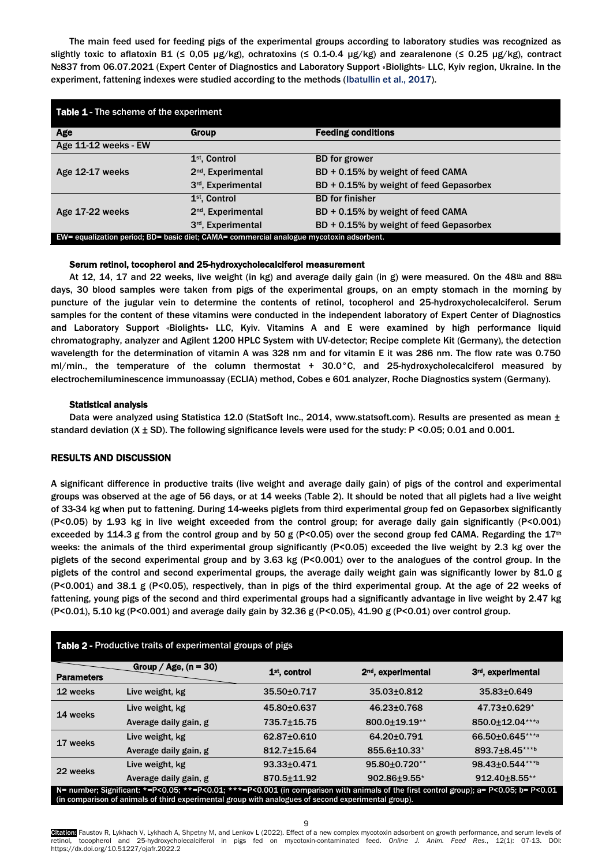The main feed used for feeding pigs of the experimental groups according to laboratory studies was recognized as slightly toxic to aflatoxin B1 (≤ 0,05 µg/kg), ochratoxins (≤ 0.1-0.4 µg/kg) and zearalenone (≤ 0.25 µg/kg), contract №837 from 06.07.2021 (Expert Center of Diagnostics and Laboratory Support «Biolights» LLC, Kyiv region, Ukraine. In the experiment, fattening indexes were studied according to the methods [\(Ibatullin et al., 2017\).](#page-5-0)

| <b>Table 1 - The scheme of the experiment</b>                                           |                                |                                         |  |  |  |  |
|-----------------------------------------------------------------------------------------|--------------------------------|-----------------------------------------|--|--|--|--|
| Age                                                                                     | <b>Group</b>                   | <b>Feeding conditions</b>               |  |  |  |  |
| Age 11-12 weeks - EW                                                                    |                                |                                         |  |  |  |  |
|                                                                                         | 1 <sup>st</sup> , Control      | <b>BD</b> for grower                    |  |  |  |  |
| Age 12-17 weeks                                                                         | 2 <sup>nd</sup> , Experimental | BD + 0.15% by weight of feed CAMA       |  |  |  |  |
|                                                                                         | 3 <sup>rd</sup> , Experimental | BD + 0.15% by weight of feed Gepasorbex |  |  |  |  |
|                                                                                         | 1 <sup>st</sup> , Control      | <b>BD</b> for finisher                  |  |  |  |  |
| Age 17-22 weeks                                                                         | 2 <sup>nd</sup> , Experimental | BD + 0.15% by weight of feed CAMA       |  |  |  |  |
|                                                                                         | 3 <sup>rd</sup> , Experimental | BD + 0.15% by weight of feed Gepasorbex |  |  |  |  |
| EW= equalization period; BD= basic diet; CAMA= commercial analogue mycotoxin adsorbent. |                                |                                         |  |  |  |  |

## Serum retinol, tocopherol and 25-hydroxycholecalciferol measurement

At 12, 14, 17 and 22 weeks, live weight (in kg) and average daily gain (in g) were measured. On the  $48^{\text{th}}$  and  $88^{\text{th}}$ days, 30 blood samples were taken from pigs of the experimental groups, on an empty stomach in the morning by puncture of the jugular vein to determine the contents of retinol, tocopherol and 25-hydroxycholecalciferol. Serum samples for the content of these vitamins were conducted in the independent laboratory of Expert Center of Diagnostics and Laboratory Support «Biolights» LLC, Kyiv. Vitamins A and E were examined by high performance liquid chromatography, analyzer and Agilent 1200 HPLC System with UV-detector; Recipe complete Kit (Germany), the detection wavelength for the determination of vitamin A was 328 nm and for vitamin E it was 286 nm. The flow rate was 0.750 ml/min., the temperature of the column thermostat + 30.0°C, and 25-hydroxycholecalciferol measured by electrochemiluminescence immunoassay (ECLIA) method, Cobes e 601 analyzer, Roche Diagnostics system (Germany).

### Statistical analysis

Data were analyzed using Statistica 12.0 (StatSoft Inc., 2014, www.statsoft.com). Results are presented as mean  $\pm$ standard deviation (X ± SD). The following significance levels were used for the study: P <0.05; 0.01 and 0.001.

# RESULTS AND DISCUSSION

A significant difference in productive traits (live weight and average daily gain) of pigs of the control and experimental groups was observed at the age of 56 days, or at 14 weeks (Table 2). It should be noted that all piglets had a live weight of 33-34 kg when put to fattening. During 14-weeks piglets from third experimental group fed on Gepasorbex significantly (P<0.05) by 1.93 kg in live weight exceeded from the control group; for average daily gain significantly (P<0.001) exceeded by 114.3 g from the control group and by 50 g (P<0.05) over the second group fed CAMA. Regarding the  $17<sup>th</sup>$ weeks: the animals of the third experimental group significantly (P<0.05) exceeded the live weight by 2.3 kg over the piglets of the second experimental group and by 3.63 kg (P<0.001) over to the analogues of the control group. In the piglets of the control and second experimental groups, the average daily weight gain was significantly lower by 81.0 g (P<0.001) and 38.1 g (P<0.05), respectively, than in pigs of the third experimental group. At the age of 22 weeks of fattening, young pigs of the second and third experimental groups had a significantly advantage in live weight by 2.47 kg (P<0.01), 5.10 kg (P<0.001) and average daily gain by 32.36 g (P<0.05), 41.90 g (P<0.01) over control group.

| <b>Table 2 - Productive traits of experimental groups of pigs</b>                                                                                                                                                                             |                         |                           |                                |                                |  |  |  |
|-----------------------------------------------------------------------------------------------------------------------------------------------------------------------------------------------------------------------------------------------|-------------------------|---------------------------|--------------------------------|--------------------------------|--|--|--|
| <b>Parameters</b>                                                                                                                                                                                                                             | Group / Age, $(n = 30)$ | 1 <sup>st</sup> , control | 2 <sup>nd</sup> , experimental | 3 <sup>rd</sup> , experimental |  |  |  |
| 12 weeks                                                                                                                                                                                                                                      | Live weight, kg         | 35.50±0.717               | $35.03 \pm 0.812$              | 35.83±0.649                    |  |  |  |
| 14 weeks                                                                                                                                                                                                                                      | Live weight, kg         | 45.80±0.637               | 46.23±0.768                    | 47.73±0.629*                   |  |  |  |
|                                                                                                                                                                                                                                               | Average daily gain, g   | 735.7±15.75               | 800.0+19.19**                  | 850.0±12.04***a                |  |  |  |
| 17 weeks                                                                                                                                                                                                                                      | Live weight, kg         | 62.87±0.610               | 64.20±0.791                    | 66.50±0.645***a                |  |  |  |
|                                                                                                                                                                                                                                               | Average daily gain, g   | $812.7 \pm 15.64$         | 855.6±10.33*                   | 893.7±8.45***b                 |  |  |  |
| 22 weeks                                                                                                                                                                                                                                      | Live weight, kg         | 93.33±0.471               | 95.80±0.720**                  | 98.43±0.544***b                |  |  |  |
|                                                                                                                                                                                                                                               | Average daily gain, g   | 870.5±11.92               | 902.86±9.55*                   | 912.40±8.55**                  |  |  |  |
| N= number; Significant: *=P<0.05; **=P<0.01; ***=P<0.001 (in comparison with animals of the first control group); a= P<0.05; b= P<0.01<br>(in comparison of animals of third experimental group with analogues of second experimental group). |                         |                           |                                |                                |  |  |  |

Citation: Faustov R, Lykhach V, Lykhach A, Shpetny M, and Lenkov L (2022). Effect of a new complex mycotoxin adsorbent on growth performance, and serum levels of retinol, tocopherol and 25-hydroxycholecalciferol in pigs fed on mycotoxin-contaminated feed. *Online J. Anim. Feed Res*., 12(1): 07-13. DOI: https://dx.doi.org/10.51227/ojafr.2022.2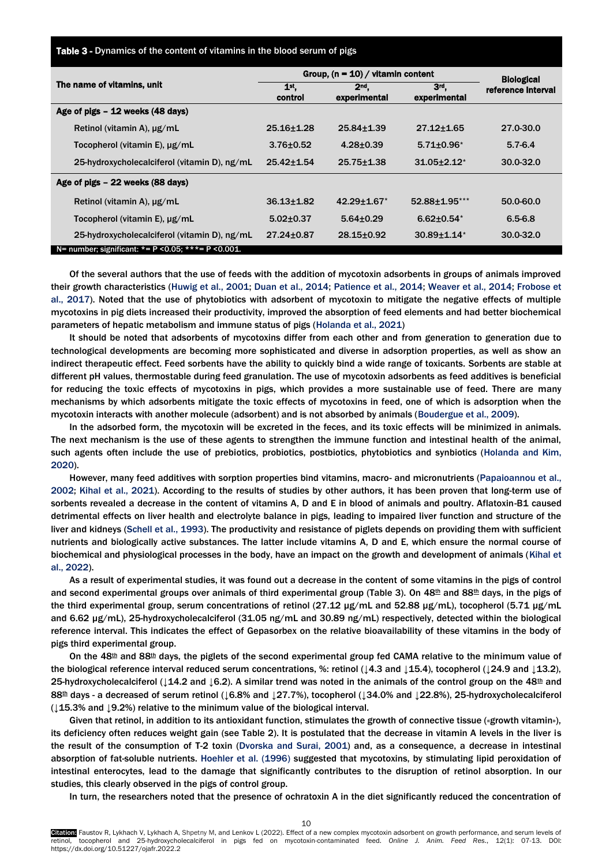Table 3 - Dynamics of the content of vitamins in the blood serum of pigs

|                                                              | Group, $(n = 10) /$ vitamin content | <b>Biological</b>               |                               |                    |
|--------------------------------------------------------------|-------------------------------------|---------------------------------|-------------------------------|--------------------|
| The name of vitamins, unit                                   | 1 <sub>st</sub><br>control          | 2 <sub>nd</sub><br>experimental | 3rd.<br>experimental          | reference interval |
| Age of pigs - 12 weeks (48 days)                             |                                     |                                 |                               |                    |
| Retinol (vitamin A), $\mu$ g/mL                              | $25.16 + 1.28$                      | $25.84 \pm 1.39$                | $27.12 \pm 1.65$              | 27.0-30.0          |
| Tocopherol (vitamin E), µg/mL                                | $3.76 \pm 0.52$                     | $4.28 + 0.39$                   | $5.71 \pm 0.96$ *             | $5.7 - 6.4$        |
| 25-hydroxycholecalciferol (vitamin D), ng/mL                 | $25.42 \pm 1.54$                    | $25.75 \pm 1.38$                | $31.05 \pm 2.12^*$            | 30.0-32.0          |
| Age of pigs - 22 weeks (88 days)                             |                                     |                                 |                               |                    |
| Retinol (vitamin A), $\mu$ g/mL                              | $36.13 + 1.82$                      | $42.29 \pm 1.67$                | 52.88±1.95***                 | 50.0-60.0          |
| Tocopherol (vitamin E), $\mu$ g/mL                           | $5.02 \pm 0.37$                     | $5.64 \pm 0.29$                 | $6.62 \pm 0.54$ <sup>*</sup>  | $6.5 - 6.8$        |
| 25-hydroxycholecalciferol (vitamin D), ng/mL                 | 27.24±0.87                          | $28.15 \pm 0.92$                | $30.89 \pm 1.14$ <sup>*</sup> | 30.0-32.0          |
| N= number; significant: $* = P < 0.05$ ; $*** = P < 0.001$ . |                                     |                                 |                               |                    |

Of the several authors that the use of feeds with the addition of mycotoxin adsorbents in groups of animals improved their growth characteristics (Huwig et al., 2001; Duan et al., 2014; [Patience et al., 2014; Weaver et al., 2014; Frobose et](#page-5-0)  al., 2017). Noted that the use of phytobiotics with adsorbent of mycotoxin to mitigate the negative effects of multiple mycotoxins in pig diets increased their productivity, improved the absorption of feed elements and had better biochemical parameters of hepatic metabolism and immune status of pigs [\(Holanda et al., 2021\)](#page-5-0)

It should be noted that adsorbents of mycotoxins differ from each other and from generation to generation due to technological developments are becoming more sophisticated and diverse in adsorption properties, as well as show an indirect therapeutic effect. Feed sorbents have the ability to quickly bind a wide range of toxicants. Sorbents are stable at different pH values, thermostable during feed granulation. The use of mycotoxin adsorbents as feed additives is beneficial for reducing the toxic effects of mycotoxins in pigs, which provides a more sustainable use of feed. There are many mechanisms by which adsorbents mitigate the toxic effects of mycotoxins in feed, one of which is adsorption when the mycotoxin interacts with another molecule (adsorbent) and is not absorbed by animals [\(Boudergue et al., 2009\).](#page-5-0)

In the adsorbed form, the mycotoxin will be excreted in the feces, and its toxic effects will be minimized in animals. The next mechanism is the use of these agents to strengthen the immune function and intestinal health of the animal, such agents often include the use of prebiotics, probiotics, postbiotics, phytobiotics and synbiotics [\(Holanda and Kim,](#page-5-0)  2020).

However, many feed additives with sorption properties bind vitamins, macro- and micronutrients (Papaioannou et al., [2002; Kihal et al., 2021\).](#page-5-0) According to the results of studies by other authors, it has been proven that long-term use of sorbents revealed a decrease in the content of vitamins A, D and E in blood of animals and poultry. Aflatoxin-B1 caused detrimental effects on liver health and electrolyte balance in pigs, leading to impaired liver function and structure of the liver and kidneys [\(Schell et al., 1993\). T](#page-5-0)he productivity and resistance of piglets depends on providing them with sufficient nutrients and biologically active substances. The latter include vitamins A, D and E, which ensure the normal course of biochemical and physiological processes in the body, have an impact on the growth and development of animals [\(Kihal et](#page-5-0)  [al., 2022\).](#page-5-0)

As a result of experimental studies, it was found out a decrease in the content of some vitamins in the pigs of control and second experimental groups over animals of third experimental group (Table 3). On 48th and 88th days, in the pigs of the third experimental group, serum concentrations of retinol (27.12 µg/mL and 52.88 µg/mL), tocopherol (5.71 µg/mL) and 6.62 µg/mL), 25-hydroxycholecalciferol (31.05 ng/mL and 30.89 ng/mL) respectively, detected within the biological reference interval. This indicates the effect of Gepasorbex on the relative bioavailability of these vitamins in the body of pigs third experimental group.

On the 48th and 88<sup>th</sup> days, the piglets of the second experimental group fed CAMA relative to the minimum value of the biological reference interval reduced serum concentrations, %: retinol (↓4.3 and ↓15.4), tocopherol (↓24.9 and ↓13.2), 25-hydroxycholecalciferol (↓14.2 and ↓6.2). A similar trend was noted in the animals of the control group on the 48th and 88th days - a decreased of serum retinol ( $\downarrow$ 6.8% and  $\downarrow$ 27.7%), tocopherol ( $\downarrow$ 34.0% and  $\downarrow$ 22.8%), 25-hydroxycholecalciferol (↓15.3% and ↓9.2%) relative to the minimum value of the biological interval.

Given that retinol, in addition to its antioxidant function, stimulates the growth of connective tissue («growth vitamin»), its deficiency often reduces weight gain (see Table 2). It is postulated that the decrease in vitamin A levels in the liver is the result of the consumption of T-2 toxin [\(Dvorska and Surai,](#page-5-0) 2001) and, as a consequence, a decrease in intestinal absorption of fat-soluble nutrients. [Hoehler et al. \(1996\)](#page-5-0) suggested that mycotoxins, by stimulating lipid peroxidation of intestinal enterocytes, lead to the damage that significantly contributes to the disruption of retinol absorption. In our studies, this clearly observed in the pigs of control group.

In turn, the researchers noted that the presence of ochratoxin A in the diet significantly reduced the concentration of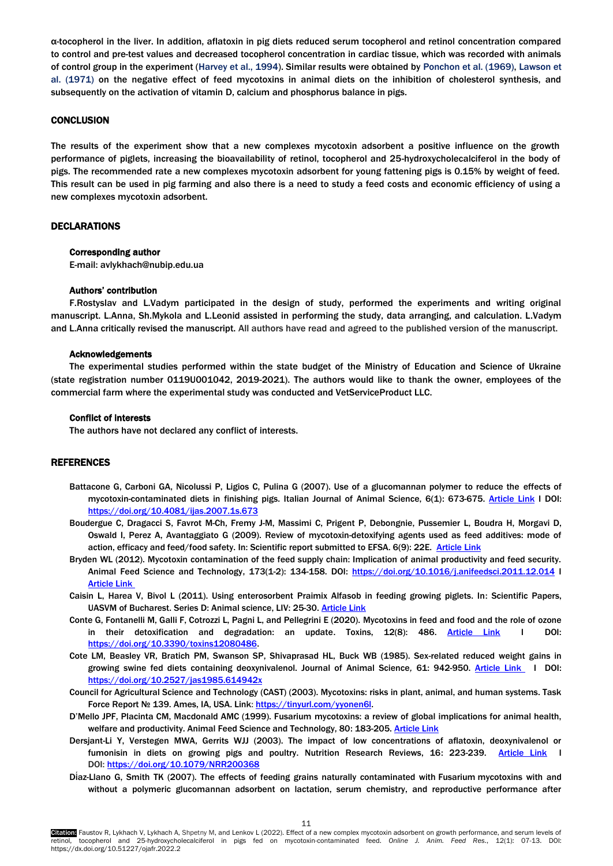α-tocopherol in the liver. In addition, aflatoxin in pig diets reduced serum tocopherol and retinol concentration compared to control and pre-test values and decreased tocopherol concentration in cardiac tissue, which was recorded with animals of control group in the experiment [\(Harvey et al., 1994\).](#page-5-0) Similar results were obtained by [Ponchon et al. \(1969\), Lawson et](#page-5-0)  [al. \(1971\)](#page-5-0) on the negative effect of feed mycotoxins in animal diets on the inhibition of cholesterol synthesis, and subsequently on the activation of vitamin D, calcium and phosphorus balance in pigs.

## **CONCLUSION**

The results of the experiment show that a new complexes mycotoxin adsorbent a positive influence on the growth performance of piglets, increasing the bioavailability of retinol, tocopherol and 25-hydroxycholecalciferol in the body of pigs. The recommended rate a new complexes mycotoxin adsorbent for young fattening pigs is 0.15% by weight of feed. This result can be used in pig farming and also there is a need to study a feed costs and economic efficiency of using a new complexes mycotoxin adsorbent.

## DECLARATIONS

## Corresponding author

E-mail: avlykhach@nubip.edu.ua

#### Authors' contribution

F.Rostyslav and L.Vadym participated in the design of study, performed the experiments and writing original manuscript. L.Anna, Sh.Mykola and L.Leonid assisted in performing the study, data arranging, and calculation. L.Vadym and L.Anna critically revised the manuscript. All authors have read and agreed to the published version of the manuscript.

#### Acknowledgements

The experimental studies performed within the state budget of the Ministry of Education and Science of Ukraine (state registration number 0119U001042, 2019-2021). The authors would like to thank the owner, employees of the commercial farm where the experimental study was conducted and VetServiceProduct LLC.

#### Conflict of interests

The authors have not declared any conflict of interests.

#### REFERENCES

- Battacone G, Carboni GA, Nicolussi P, Ligios C, Pulina G (2007). Use of a glucomannan polymer to reduce the effects of mycotoxin-contaminated diets in finishing pigs. Italian Journal of Animal Science, 6(1): 673-675. [Article Link](https://www.tandfonline.com/doi/abs/10.4081/ijas.2007.1s.673) I DOI: <https://doi.org/10.4081/ijas.2007.1s.673>
- Boudergue C, Dragacci S, Favrot [M-Ch, F](https://efsa.onlinelibrary.wiley.com/action/doSearch?ContribAuthorRaw=FAVROT%2C+Marie-Christine)remy [J-M,](https://efsa.onlinelibrary.wiley.com/action/doSearch?ContribAuthorRaw=FREMY%2C+Jean-Marc) Massimi [C,](https://efsa.onlinelibrary.wiley.com/action/doSearch?ContribAuthorRaw=MASSIMI%2C+Claire) Prigent [P,](https://efsa.onlinelibrary.wiley.com/action/doSearch?ContribAuthorRaw=PRIGENT%2C+Philippe) Debongnie, Pussemier [L,](https://efsa.onlinelibrary.wiley.com/action/doSearch?ContribAuthorRaw=PUSSEMIER%2C+Luc) Boudra [H,](https://efsa.onlinelibrary.wiley.com/action/doSearch?ContribAuthorRaw=BOUDRA%2C+Hamid) [Morgavi](https://efsa.onlinelibrary.wiley.com/action/doSearch?ContribAuthorRaw=MORGAVI%2C+Diego) D, [Oswald](https://efsa.onlinelibrary.wiley.com/action/doSearch?ContribAuthorRaw=OSWALD%2C+Isabelle) I, Perez A, Avantaggiato [G](https://efsa.onlinelibrary.wiley.com/action/doSearch?ContribAuthorRaw=AVANTAGGIATO%2C+Giuseppina) (2009). Review of mycotoxin-detoxifying agents used as feed additives: mode of action, efficacy and feed/food safety. In: Scientific report submitted to EFSA. 6(9): 22E. [Article Link](https://efsa.onlinelibrary.wiley.com/doi/epdf/10.2903/sp.efsa.2009.EN-22)
- [Bryden](https://www.researchgate.net/profile/Wayne-Bryden-2) WL (2012). Mycotoxin contamination of the feed supply chain: Implication of animal productivity and feed security. [Animal Feed Science and Technology,](https://www.researchgate.net/journal/Animal-Feed-Science-and-Technology-0377-8401) 173(1-2): 134-158. DOI:<https://doi.org/10.1016/j.anifeedsci.2011.12.014> I [Article Link](https://www.sciencedirect.com/science/article/abs/pii/S0377840111005037?via%3Dihub)
- Caisin L, Harea V, Bivol L (2011). Using enterosorbent Praimix Alfasob in feeding growing piglets. In: Scientific Papers, UASVM of Bucharest. Series D: Animal science, LIV: 25-30[. Article Link](http://dspace.uasm.md/bitstream/handle/123456789/4504/07_caisin_25-30.pdf?sequence=1&isAllowed=y)
- Conte G, Fontanelli M, Galli F, Cotrozzi L, Pagni L, and Pellegrini E (2020). Mycotoxins in feed and food and the role of ozone in their detoxification and degradation: an update. Toxins, 12(8): 486. [Article Link](https://www.mdpi.com/2072-6651/12/8/486) I DOI: [https://doi.org/10.3390/toxins12080486.](https://doi.org/10.3390/toxins12080486)
- Cote LM, Beasley VR, Bratich PM, Swanson SP, Shivaprasad HL, Buck WB (1985). Sex-related reduced weight gains in growing swine fed diets containing deoxynivalenol. Journal of Animal Science*,* 61: 942-950. [Article Link](https://academic.oup.com/jas/article-abstract/61/4/942/4746063?redirectedFrom=fulltext) I DOI: <https://doi.org/10.2527/jas1985.614942x>
- Council for Agricultural Science and Technology (CAST) (2003). Mycotoxins: risks in plant, animal, and human systems. Task Force Report № 139. Ames, IA, USA. Link[: https://tinyurl.com/yyonen6l.](https://tinyurl.com/yyonen6l)
- D'Mello JPF, Placinta CM, Macdonald AMC (1999). Fusarium mycotoxins: a review of global implications for animal health, welfare and productivity. Animal Feed Science and Technology, 80: 183-205[. Article Link](http://citeseerx.ist.psu.edu/viewdoc/download;jsessionid=2891533303DB4E2BBA71CAE1E5E5C392?doi=10.1.1.453.2615&rep=rep1&type=pdf)
- Dersjant-Li Y, Verstegen MWA, Gerrits WJJ (2003). The impact of low concentrations of aflatoxin, deoxynivalenol or fumonisin in diets on growing pigs and poultry. Nutrition Research Reviews, 16: 223-239. Article Link DOI: <https://doi.org/10.1079/NRR200368>
- Dí[az-Llano](javascript:;) G, [Smith](javascript:;) TK (2007). The effects of feeding grains naturally contaminated with Fusarium mycotoxins with and without a polymeric glucomannan adsorbent on lactation, serum chemistry, and reproductive performance after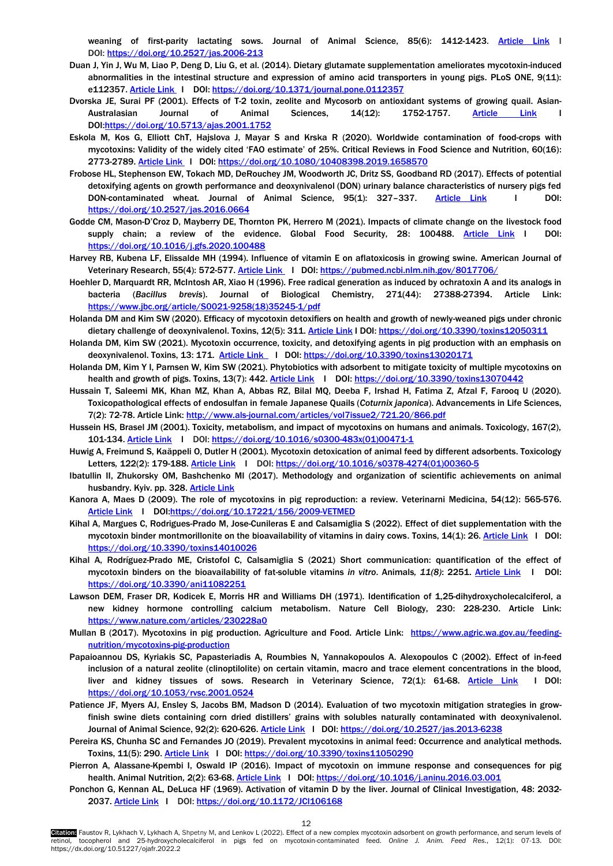weaning of first-parity lactating sows. Journal of Animal Science, 85(6): 1412-1423. [Article Link](https://academic.oup.com/jas/article-abstract/85/6/1412/4778052?redirectedFrom=fulltext) I DOI: <https://doi.org/10.2527/jas.2006-213>

- <span id="page-5-0"></span>Duan J, Yin J, Wu M, Liao P, Deng D, Liu G, et al. (2014). Dietary glutamate supplementation ameliorates mycotoxin-induced abnormalities in the intestinal structure and expression of amino acid transporters in young pigs. PLoS ONE, 9(11): e112357[. Article Link](https://journals.plos.org/plosone/article?id=10.1371/journal.pone.0112357) | DOI: <https://doi.org/10.1371/journal.pone.0112357>
- Dvorska JE, Surai PF (2001). Effects of T-2 toxin, zeolite and Mycosorb on antioxidant systems of growing quail. [Asian-](https://www.scimagojr.com/journalsearch.php?q=78414&tip=sid&clean=0)[Australasian Journal of Animal Sciences,](https://www.scimagojr.com/journalsearch.php?q=78414&tip=sid&clean=0) 14(12): 1752-1757. <u>[Article Link](https://www.animbiosci.org/journal/view.php?doi=10.5713/ajas.2001.1752)</u> I DOI[:https://doi.org/10.5713/ajas.2001.1752](https://doi.org/10.5713/ajas.2001.1752)
- Eskola M, Kos G, Elliott ChT, Hajslova J, Mayar S and Krska R (2020). Worldwide contamination of food-crops with mycotoxins: Validity of the widely cited 'FAO estimate' of 25%. Critical Reviews in Food Science and Nutrition, 60(16): 2773-2789[. Article Link](https://www.tandfonline.com/doi/pdf/10.1080/10408398.2019.1658570?needAccess=true) I DOI:<https://doi.org/10.1080/10408398.2019.1658570>
- Frobose HL, Stephenson EW, Tokach MD, DeRouchey JM, Woodworth JC, Dritz SS, Goodband RD (2017). Effects of potential detoxifying agents on growth performance and deoxynivalenol (DON) urinary balance characteristics of nursery pigs fed DON-contaminated wheat*.* Journal of Animal Science, 95(1): 327–337. [Article Link](https://academic.oup.com/jas/article-abstract/95/1/327/4703043) I DOI: <https://doi.org/10.2527/jas.2016.0664>
- Godde CM, Mason-D'Croz D, Mayberry DE, Thornton PK, Herrero M (2021). Impacts of climate change on the livestock food supply chain; a review of the evidence. Global Food Security, 28: 100488. [Article Link](https://www.sciencedirect.com/science/article/pii/S2211912420301413?via%3Dihub) I DOI: <https://doi.org/10.1016/j.gfs.2020.100488>
- Harvey RB, Kubena LF, Elissalde MH (1994). Influence of vitamin E on aflatoxicosis in growing swine. [American Journal of](https://www.google.com/url?sa=t&rct=j&q=&esrc=s&source=web&cd=&ved=2ahUKEwj02qqsoZvzAhVumYsKHbWbA6kQFnoECAwQAw&url=http%3A%2F%2Fwww.speciation.net%2FDatabase%2FJournals%2FAmerican-Journal-of-Veterinary-Research-%3Bi487&usg=AOvVaw2w1jsBIOWp7Jb_XPKmXy7l)  [Veterinary Research,](https://www.google.com/url?sa=t&rct=j&q=&esrc=s&source=web&cd=&ved=2ahUKEwj02qqsoZvzAhVumYsKHbWbA6kQFnoECAwQAw&url=http%3A%2F%2Fwww.speciation.net%2FDatabase%2FJournals%2FAmerican-Journal-of-Veterinary-Research-%3Bi487&usg=AOvVaw2w1jsBIOWp7Jb_XPKmXy7l) 55(4): 572-577[. Article Link](https://pubmed.ncbi.nlm.nih.gov/8017706/) I DOI: <https://pubmed.ncbi.nlm.nih.gov/8017706/>
- Hoehler D, Marquardt RR, McIntosh AR, Xiao H (1996). Free radical generation as induced by ochratoxin A and its analogs in bacteria (*Bacillus brevis*). Journal of Biological Chemistry, 271(44): 27388-27394. Article Link: [https://www.jbc.org/article/S0021-9258\(18\)35245-1/pdf](https://www.jbc.org/article/S0021-9258(18)35245-1/pdf)
- Holanda DM and Kim SW (2020). Efficacy of mycotoxin detoxifiers on health and growth of newly-weaned pigs under chronic dietary challenge of deoxynivalenol. Toxins, 12(5): 311. [Article Link](https://www.mdpi.com/2072-6651/12/5/311) I DOI: <https://doi.org/10.3390/toxins12050311>
- Holanda DM, Kim SW (2021). Mycotoxin occurrence, toxicity, and detoxifying agents in pig production with an emphasis on deoxynivalenol. Toxins, 13: 171. [Article Link](https://www.mdpi.com/2072-6651/13/2/171) I DOI: <https://doi.org/10.3390/toxins13020171>
- Holanda DM, Kim Y I, Parnsen W, Kim SW (2021). Phytobiotics with adsorbent to mitigate toxicity of multiple mycotoxins on health and growth of pigs. Toxins, 13(7): 442[. Article Link](https://www.mdpi.com/2072-6651/13/7/442?__cf_chl_managed_tk__=LsJ6Hvrth1eWfXsDlxaFIJryUAY9CfJe9NEyfIU5h54-1642211950-0-gaNycGzNDJE) I DOI: <https://doi.org/10.3390/toxins13070442>
- Hussain T, Saleemi MK, Khan MZ, Khan A, Abbas RZ, Bilal MQ, Deeba F, Irshad H, Fatima Z, Afzal F, Farooq U (2020). Toxicopathological effects of endosulfan in female Japanese Quails (*Coturnix japonica*). Advancements in Life Sciences, 7(2): 72-78. Article Link:<http://www.als-journal.com/articles/vol7issue2/721.20/866.pdf>
- Hussein HS, Brasel JM (2001). Toxicity, metabolism, and impact of mycotoxins on humans and animals. Toxicology, 167(2), 101-134. [Article Link](https://www.sciencedirect.com/science/article/abs/pii/S0300483X01004711) I DOI: [https://doi.org/10.1016/s0300-483x\(01\)00471-1](https://doi.org/10.1016/s0300-483x(01)00471-1)
- Huwig А, Freimund S, Ka[ä](https://pubmed.ncbi.nlm.nih.gov/?term=K%C3%A4ppeli+O&cauthor_id=11439224)ppeli О, Dutler H (2001). Mycotoxin detoxication of animal feed by different adsorbents. Toxicology Letters*,* 122(2): 179-188. [Article Link](https://pubmed.ncbi.nlm.nih.gov/11439224/) I DOI: [https://doi.org/10.1016/s0378-4274\(01\)00360-5](https://doi.org/10.1016/s0378-4274(01)00360-5)
- Ibatullin II, Zhukorsky OM, Bashchenko MI (2017). Methodology and organization of scientific achievements on animal husbandry. Kyiv. pp. 328[. Article Link](http://irb.nubip.edu.ua/cgi-bin/irbis64r_14/cgiirbis_64.exe?LNG=uk&C21COM=S&I21DBN=NUBIP&P21DBN=NUBIP&S21FMT=fullwebr&S21ALL=%3C.%3EK%3D%D0%86%D0%91%D0%90%D0%A2%D0%A3%D0%9B%D0%9B%D0%86%D0%9D%D0%90$%3C.%3E&Z21ID=&S21SRW=GOD&S21SRD=DOWN&S21STN=1&S21REF=10&S21CNR=20&FT_REQUEST=&FT_PREFIX=)
- Kanora A, Maes D (2009). The role of mycotoxins in pig reproduction: a review. Veterinarni Medicina, 54(12): 565-576. [Article Link](https://www.agriculturejournals.cz/web/vetmed.htm?type=article&id=156_2009-VETMED) I DO[I:https://doi.org/10.17221/156/2009-VETMED](https://doi.org/10.17221/156/2009-VETMED)
- Kihal A, Margues C, Rodrigues-Prado M, Jose-Cunileras E and Calsamiglia S (2022). Effect of diet supplementation with the mycotoxin binder montmorillonite on the bioavailability of vitamins in dairy cows. Toxins, 14(1): 26. [Article Link](https://www.mdpi.com/2072-6651/14/1/26/htm) I DOI: <https://doi.org/10.3390/toxins14010026>
- Kihal A, Rodríguez-Prado ME, Cristofol C, Calsamiglia S (2021) Short communication: quantification of the effect of mycotoxin binders on the bioavailability of fat-soluble vitamins *in vitro*. Animals*, 11(8)*: 2251. [Article Link](https://www.mdpi.com/2076-2615/11/8/2251#cite) I DOI: <https://doi.org/10.3390/ani11082251>
- Lawson DEM, Fraser DR, Kodicek E, Morris HR and Williams DH (1971). Identification of 1,25-dihydroxycholecalciferol, a new kidney hormone controlling calcium metabolism. Nature Cell Biology, 230: 228-230. Article Link: <https://www.nature.com/articles/230228a0>
- Mullan B (2017). Mycotoxins in pig production. Agriculture and Food. Article Link: [https://www.agric.wa.gov.au/feeding](https://www.agric.wa.gov.au/feeding-nutrition/mycotoxins-pig-production)[nutrition/mycotoxins-pig-production](https://www.agric.wa.gov.au/feeding-nutrition/mycotoxins-pig-production)
- Papaioannou DS, Kyriakis SC, Papasteriadis A, Roumbies N, Yannakopoulos A. Alexopoulos C (2002). Effect of in-feed inclusion of a natural zeolite (clinoptilolite) on certain vitamin, macro and trace element concentrations in the blood, liver and kidney tissues of sows. Research in Veterinary Science, 72(1): 61-68. [Article Link](https://www.sciencedirect.com/science/article/abs/pii/S0034528801905247?via%3Dihub) I DOI: <https://doi.org/10.1053/rvsc.2001.0524>
- Patience JF, Myers AJ, Ensley S, Jacobs BM, Madson D (2014). Evaluation of two mycotoxin mitigation strategies in growfinish swine diets containing corn dried distillers' grains with solubles naturally contaminated with deoxynivalenol. Journal of Animal Science, 92(2): 620-626[. Article Link](https://academic.oup.com/jas/article-abstract/92/2/620/4702475?redirectedFrom=fulltext) | DOI: <https://doi.org/10.2527/jas.2013-6238>
- Pereira KS, Chunha SC and Fernandes JO (2019). Prevalent mycotoxins in animal feed: Occurrence and analytical methods. Toxins, 11(5): 290. [Article Link](https://www.mdpi.com/2072-6651/11/5/290) I DOI[: https://doi.org/10.3390/toxins11050290](https://doi.org/10.3390/toxins11050290)
- [Pierron A,](https://www.sciencedirect.com/science/article/pii/S2405654516300154#!) [Alassane-Kpembi](https://www.sciencedirect.com/science/article/pii/S2405654516300154#!) I, [Oswald](https://www.sciencedirect.com/science/article/pii/S2405654516300154#!) IP (2016). Impact of mycotoxin on immune response and consequences for pig health[. Animal Nutrition](https://www.sciencedirect.com/science/journal/24056545)*,* 2(2): 63-68. [Article Link](https://www.sciencedirect.com/science/article/pii/S2405654516300154?via%3Dihub) I DOI[: https://doi.org/10.1016/j.aninu.2016.03.001](https://doi.org/10.1016/j.aninu.2016.03.001)
- Ponchon G, Kennan AL, DeLuca HF (1969). Activation of vitamin D by the liver. Journal of Clinical Investigation, 48: 2032- 2037. [Article Link](https://www.jci.org/articles/view/106168) I DOI: <https://doi.org/10.1172/JCI106168>